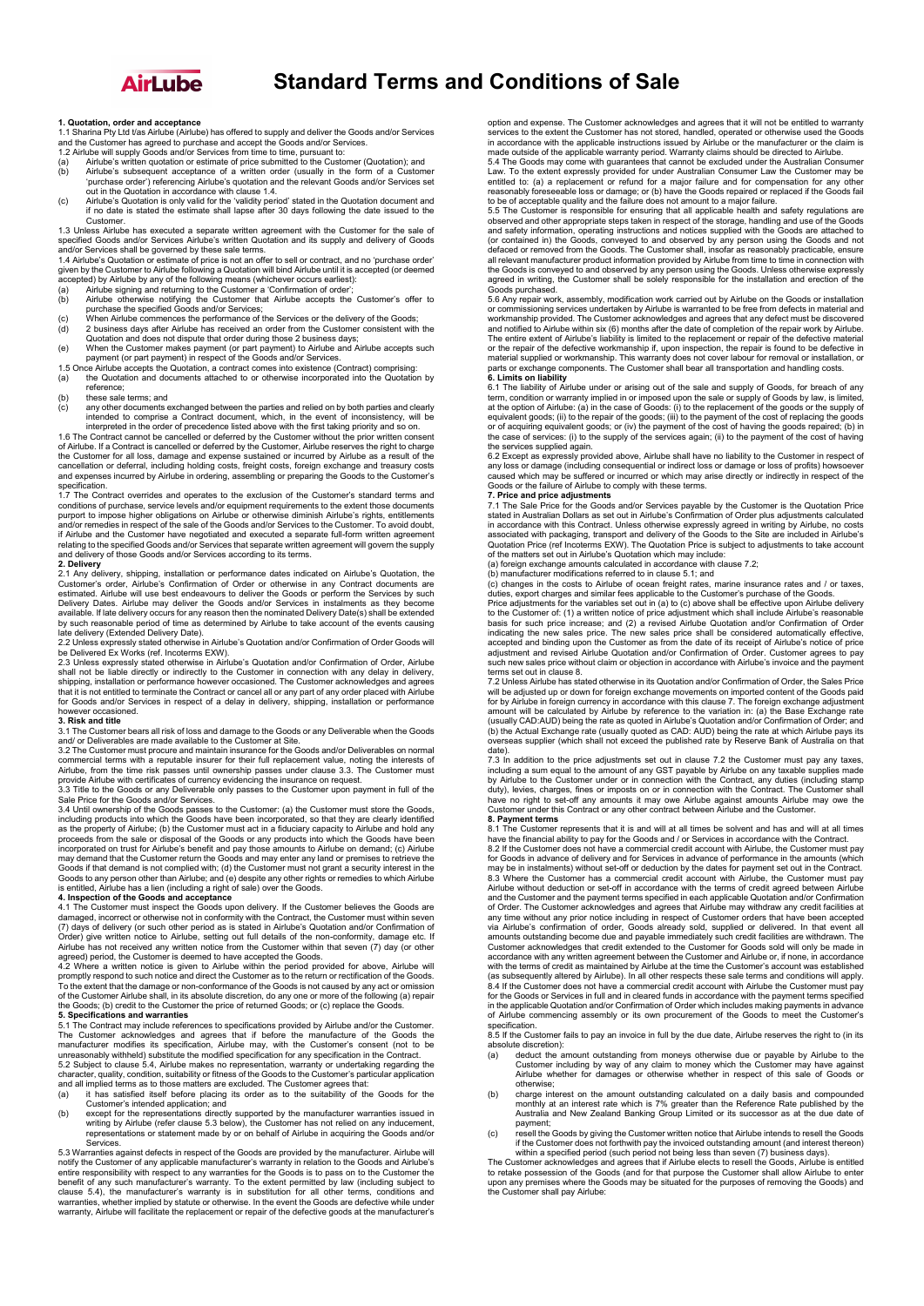

# **Standard Terms and Conditions of Sale**

## **1. Quotation, order and acceptance**

1.1 Sharina Pty Ltd t/as Airlube (Airlube) has offered to supply and deliver the Goods and/or Services<br>and the Customer has agreed to purchase and accept the Goods and/or Services.<br>1.2 Airlube will supply Goods and/or Serv

- (a) Airlube's written quotation or estimate of price submitted to the Customer (Quotation); and<br>(b) Airlube's subsequent acceptance of a written order (usually in the form of a Customer 'purchase order') referencing Airlube's quotation and the relevant Goods and/or Services set<br>out in the Quotation in accordance with clause 1.4.<br>(c) Airlube's Quotation is only valid for the 'validity period' stated in the
- 

Customer. 1.3 Unless Airlube has executed a separate written agreement with the Customer for the sale of specified Goods and/or Services Airlube's written Quotation and its supply and delivery of Goods and/or Services shall be governed by these sale terms.<br>1.4 Airlube's Quotation or estimate of price is not an offer

1.4 Airlube's Quotation or estimate of price is not an offer to sell or contract, and no 'purchase order'<br>given by the Customer to Airlube following a Quotation will bind Airlube until it is accepted (or deemed<br>accepted) b

- 
- 
- (a) Airlube signing and returning to the Customer a 'Confirmation of order';<br>
(b) Airlube otherwise notifying the Customer that Airlube accepts the Customer's offer to<br>
purchase the specified Goods and/or Services;<br>
(c) Wh
- Quotation and does not dispute that order during those 2 business days; (e) When the Customer makes payment (or part payment) to Airlube and Airlube accepts such payment (or part payment) in respect of the Goods and/or Services.
- 1.5 Once Airlube accepts the Quotation, a contract comes into existence (Contract) comprising<br>(a) the Quotation and documents attached to or otherwise incorporated into the Quotation (a) the Quotation and documents attached to or otherwise incorporated into the Quotation by
- reference;
- (b) these sale terms; and (c) any other documents exchanged between the parties and relied on by both parties and clearly<br>intended to comprise a Contract document, which, in the event of inconsistency, will be<br>interpreted in the order of precedence

of Airlube. If a Contract is cancelled or deferred by the Customer, Airlube reserves the right to charge<br>the Customer for all loss, damage and expense sustained or incurred by Airlube as a result of the<br>cancellation or def and expenses incurred by Airlube in ordering, assembling or preparing the Goods to the Customer's specification.

1.7 The Contract overrides and operates to the exclusion of the Customer's standard terms and conditions of purchase, service levels and/or equipment requirements to the extent those documents purport to impose higher obligations on Airlube or otherwise diminish Airlube's rights, entitlements and/or remedies in respect of the sale of the Goods and/or Services to the Customer. To avoid doubt, if Airlube and the Customer have negotiated and executed a separate full-form written agreement<br>relating to the specified Goods and/or Services that separate written agreement will govern the supply<br>and delivery of those G

2. Delivery<br>Customy, shipping, installation or performance dates indicated on Airlube's Quotation, the<br>Customer's order, Airlube's Confirmation of Order or otherwise in any Contract documents are<br>estimated. Airlube will us 2.2 Unless expressly stated otherwise in Airlube's Quotation and/or Confirmation of Order Goods will

be Delivered Ex Works (ref. Incoterms EXW). 2.3 Unless expressly stated otherwise in Airlube's Quotation and/or Confirmation of Order, Airlube

shall not be liable directly or indirectly to the Customer in connection with any delay in delivery,<br>shipping, installation or performance however occasioned. The Customer acknowledges and agrees<br>that it is not entitled to for Goods and/or Services in respect of a delay in delivery, shipping, installation or performance however occasioned.

## **3. Risk and title**

3.1 The Customer bears all risk of loss and damage to the Goods or any Deliverable when the Goods and/ or Deliverables are made available to the Customer at Site.

3.2 The Customer must procure and maintain insurance for the Goods and/or Deliverables on normal commercial terms with a reputable insurer for their full replacement value, noting the interests of<br>Airlube, from the time risk passes until ownership passes under clause 3.3. The Customer must<br>provide Airlube with certifi

3.3 Title to the Goods or any Deliverable only passes to the Customer upon payment in full of the Sale Price for the Goods and/or Services.

3.4 Until ownership of the Goods passes to the Customer: (a) the Customer must store the Goods, including products into which the Goods have been incorporated, so that they are clearly identified as the property of Airlube; (b) the Customer must act in a fiduciary capacity to Airlube and hold any<br>proceeds from the sale or disposal of the Goods or any products into which the Goods have been<br>incorporated on trust for Goods if that demand is not complied with; (d) the Customer must not grant a security interest in the Goods to any person other than Airlube; and (e) despite any other rights or remedies to which Airlube is entitled, Airlube has a lien (including a right of sale) over the Goods.

**4. Inspection of the Goods and acceptance**  4.1 The Customer must inspect the Goods upon delivery. If the Customer believes the Goods are damaged, incorrect or otherwise not in conformity with the Contract, the Customer must within seven (7) days of delivery (or such other period as is stated in Airlube's Quotation and/or Confirmation of Conserved Order) giv

To the extent that the damage or non-conformance of the Goods is not caused by any act or omission<br>of the Customer Airlube shall, in its absolute discretion, do any one or more of the following (a) repair<br>the Goods; (b) cr

**5. Specifications and warranties**  5.1 The Contract may include references to specifications provided by Airlube and/or the Customer. The Customer acknowledges and agrees that if before the manufacture of the Goods the manufacturer modifies its specification, Airlube may, with the Customer's consent (not to be unreasonably withheld) substitute the modifi

- 
- Customer's intended application; and<br>
(b) except for the representations directly supported by the manufacturer warranties issued in<br>
writing by Airlube (refer clause 5.3 below), the Customer has not relied on any induceme

Services.<br>5.3 Warranties against defects in respect of the Goods are provided by the manufacturer. Airlube will<br>5.3 Warranties against defects in respect of the Goods are provided by the manufacturer's warranty in relation warranty, Airlube will facilitate the replacement or repair of the defective goods at the manufacturer's

option and expense. The Customer acknowledges and agrees that it will not be entitled to warranty services to the extent the Customer has not stored, handled, operated or otherwise used the Goods<br>in accordance with the applicable instructions issued by Airlube or the manufacturer or the claim is<br>made outside of the app

Law. To the extent expressly provided for under Australian Consumer Law the Customer may be entitled to: (a) a replacement or refund for a major failure and for compensation for any other<br>reasonably foreseeable loss or damage; or (b) have the Goods repaired or replaced if the Goods fail<br>to be of acceptable qualit

observed and other appropriate steps taken in respect of the storage, handling and use of the Goods<br>and safety information, operating instructions and notices supplied with the Goods are attached to<br>(or contained in) the G defaced or removed from the Goods. The Customer shall, insofar as reasonably practicable, ensure<br>all relevant manufacturer product information provided by Airlube from time to time in connection with<br>the Goods is conveyed Goods purchased.

5.6 Any repair work, assembly, modification work carried out by Airlube on the Goods or installation<br>or commissioning services undertaken by Airlube is warranted to be free from defects in material and<br>workmanship provided The entire extent of Airlube's liability is limited to the replacement or repair of the defective material or the repair of the defective workmanship if, upon inspection, the repair is found to be defective in material sup

at the option of Airlube: (a) in the case of Goods: (i) to the replacement of the goods or the supply of equivalent goods; (ii) to the repar of the goods; (iii) to the reparent of the cost of replacing the goods; and corre

the services supplied again.<br>6.2 Except as expressly provided above, Airlube shall have no liability to the Customer in respect of<br>any loss or damage (including consequential or indirect loss or damage or loss of profits) caused which may be suffered or incurred or which may arise directly or indirectly in respect of the Goods or the failure of Airlube to comply with these terms.

**7. Price and price adjustments**  7.1 The Sale Price for the Goods and/or Services payable by the Customer is the Quotation Price stated in Australian Dollars as set out in Airlube's Confirmation of Order plus adjustments calculated in accordance with this Contract. Unless otherwise expressly agreed in writing by Airlube, no costs<br>associated with packaging, transport and delivery of the Goods to the Site are included in Airlube's<br>Quotation Price (ref

(a) foreign exchange amounts calculated in accordance with clause 7.2;<br>(b) manufacturer modifications referred to in clause 5.1; and<br>(c) changes in the costs to Airlube of ocean freight rates, marine insurance rates and /

duties, export charges and similar fees applicable to the Customer's purchase of the Goods. Price adjustments for the variables set out in (a) to (c) above shall be effective upon Airlube delivery<br>to the Customer of: (1) a written notice of price adjustment which shall include Airlube's reasonable<br>basis for such indicating the new sales price. The new sales price shall be considered automatically effective,<br>accepted and binding upon the Customer as from the date of its receipt of Airlube's notice of price<br>adjustment and revised Ai

terms set out in clause 8. 7.2 Unless Airlube has stated otherwise in its Quotation and/or Confirmation of Order, the Sales Price<br>will be adjusted up or down for foreign exchange movements on imported content of the Goods paid<br>for by Airlube in fore (usually CAD:AUD) being the rate as quoted in Airlube's Quotation and/or Confirmation of Order; and<br>(b) the Actual Exchange rate (usually quoted as CAD: AUD) being the rate at which Airlube pays its<br>overseas supplier (whic date).

7.3 In addition to the price adjustments set out in clause 7.2 the Customer must pay any taxes,<br>including a sum equal to the amount of any GST payable by Airlube on any taxable supplies made<br>by Airlube to the Customer unde duty), levies, charges, fines or imposts on or in connection with the Contract. The Customer shall<br>have no right to set-off any amounts it may owe Airlube against amounts Airlube may owe the<br>Customer under this Contract or

## **8. Payment terms**

8.1 The Customer represents that it is and will at all times be solvent and has and will at all times have the financial ability to pay for the Goods and / or Services in accordance with the Contract. 8.2 If the Customer does not have a commercial credit account with Airlube, the Customer must pay

for Goods in advance of delivery and for Services in advance of performance in the amounts (which may be in instalments) without set-off or deduction by the dates for payment set out in the Contract. 8.3 Where the Customer has a commercial credit account with Airlube, the Customer must pay Airlube without deduction or set-off in accordance with the terms of credit agreed between Airlube and the Customer and the payment terms specified in each applicable Quotation and/or Confirmation of Order. The Customer acknowledges and agrees that Airlube may withdraw any credit facilities at any time without any prior notice including in respect of Customer orders that have been accepted<br>via Airlube's confirmation of order, Goods already sold, supplied or delivered. In that event all<br>amounts outstanding become Customer acknowledges that credit extended to the Customer for Goods sold will only be made in<br>accordance with any written agreement between the Customer and Airlube or, if none, in accordance<br>with the terms of credit as m 8.4 If the Customer does not have a commercial credit account with Airlube the Customer must pay<br>for the Goods or Services in full and in cleared funds in accordance with the payment terms specified<br>in the applicable Quota specification.

8.5 If the Customer fails to pay an invoice in full by the due date, Airlube reserves the right to (in its absolute discretion):

- (a) deduct the amount outstanding from moneys otherwise due or payable by Airlube to the<br>Customer including by way of any claim to money which the Customer may have against<br>Airlube whether for damages or otherwise whether
- otherwise; (b) charge interest on the amount outstanding calculated on a daily basis and compounded monthly at an interest rate which is 7% greater than the Reference Rate published by the Australia and New Zealand Banking Group Limited or its successor as at the due date of payment;
- (c) resell the Goods by giving the Customer written notice that Airlube intends to resell the Goods if the Customer does not forthwith pay the invoiced outstanding amount (and interest thereon)<br>within a specified period (such period not being less than seven (7) business days).<br>The Customer acknowledges and agrees that i

to retake possession of the Goods (and for that purpose the Customer shall allow Airlube to enter upon any premises where the Goods may be situated for the purposes of removing the Goods) and the Customer shall pay Airlube: